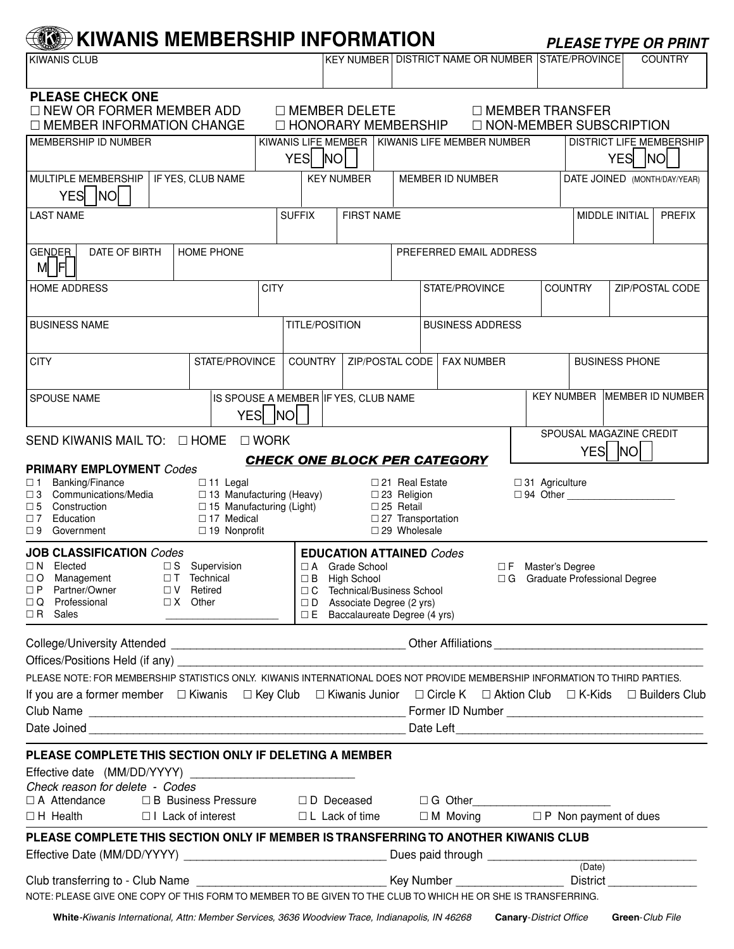## **KIM** KIWANIS MEMBERSHIP INFORMATION PLEASE TYPE OR PRINT

| $\sim$ $\sim$ $\sim$ $\sim$ $\sim$                                                                                                                                                                                                                               |                     |                                                                                                                                                                                                                                      |                                                                                                             |                               |                                                   |                       |                                   |                       | FLLAJL I IFL UN FNINI         |  |
|------------------------------------------------------------------------------------------------------------------------------------------------------------------------------------------------------------------------------------------------------------------|---------------------|--------------------------------------------------------------------------------------------------------------------------------------------------------------------------------------------------------------------------------------|-------------------------------------------------------------------------------------------------------------|-------------------------------|---------------------------------------------------|-----------------------|-----------------------------------|-----------------------|-------------------------------|--|
| <b>KIWANIS CLUB</b>                                                                                                                                                                                                                                              |                     |                                                                                                                                                                                                                                      |                                                                                                             |                               | KEY NUMBER DISTRICT NAME OR NUMBER STATE/PROVINCE |                       |                                   |                       | <b>COUNTRY</b>                |  |
| <b>PLEASE CHECK ONE</b>                                                                                                                                                                                                                                          |                     |                                                                                                                                                                                                                                      |                                                                                                             |                               |                                                   |                       |                                   |                       |                               |  |
| $\Box$ NEW OR FORMER MEMBER ADD<br>$\Box$ MEMBER DELETE<br>$\Box$ MEMBER TRANSFER                                                                                                                                                                                |                     |                                                                                                                                                                                                                                      |                                                                                                             |                               |                                                   |                       |                                   |                       |                               |  |
| □ NON-MEMBER SUBSCRIPTION<br>□ MEMBER INFORMATION CHANGE<br>$\Box$ HONORARY MEMBERSHIP<br>KIWANIS LIFE MEMBER   KIWANIS LIFE MEMBER NUMBER<br>DISTRICT LIFE MEMBERSHIP                                                                                           |                     |                                                                                                                                                                                                                                      |                                                                                                             |                               |                                                   |                       |                                   |                       |                               |  |
| MEMBERSHIP ID NUMBER                                                                                                                                                                                                                                             |                     |                                                                                                                                                                                                                                      |                                                                                                             |                               |                                                   |                       |                                   |                       |                               |  |
|                                                                                                                                                                                                                                                                  |                     | YES NO                                                                                                                                                                                                                               |                                                                                                             |                               |                                                   |                       |                                   | YES                   | NO N                          |  |
| MULTIPLE MEMBERSHIP<br><b>YES</b><br><b>NO</b>                                                                                                                                                                                                                   | IF YES, CLUB NAME   |                                                                                                                                                                                                                                      | <b>KEY NUMBER</b>                                                                                           |                               | MEMBER ID NUMBER                                  |                       |                                   |                       | DATE JOINED (MONTH/DAY/YEAR)  |  |
| <b>LAST NAME</b>                                                                                                                                                                                                                                                 |                     | <b>SUFFIX</b>                                                                                                                                                                                                                        | <b>FIRST NAME</b>                                                                                           |                               |                                                   |                       |                                   | MIDDLE INITIAL        | <b>PREFIX</b>                 |  |
| <b>GENDER</b><br>DATE OF BIRTH<br>HOME PHONE<br>M F                                                                                                                                                                                                              |                     | PREFERRED EMAIL ADDRESS                                                                                                                                                                                                              |                                                                                                             |                               |                                                   |                       |                                   |                       |                               |  |
| <b>HOME ADDRESS</b>                                                                                                                                                                                                                                              |                     | <b>CITY</b>                                                                                                                                                                                                                          |                                                                                                             |                               | STATE/PROVINCE                                    |                       | ZIP/POSTAL CODE<br><b>COUNTRY</b> |                       |                               |  |
|                                                                                                                                                                                                                                                                  |                     |                                                                                                                                                                                                                                      |                                                                                                             |                               |                                                   |                       |                                   |                       |                               |  |
| <b>BUSINESS NAME</b>                                                                                                                                                                                                                                             |                     | <b>TITLE/POSITION</b>                                                                                                                                                                                                                |                                                                                                             |                               | <b>BUSINESS ADDRESS</b>                           |                       |                                   |                       |                               |  |
|                                                                                                                                                                                                                                                                  |                     |                                                                                                                                                                                                                                      |                                                                                                             |                               |                                                   |                       |                                   |                       |                               |  |
| <b>CITY</b>                                                                                                                                                                                                                                                      | STATE/PROVINCE      | <b>COUNTRY</b>                                                                                                                                                                                                                       | ZIP/POSTAL CODE                                                                                             |                               | <b>FAX NUMBER</b>                                 |                       |                                   | <b>BUSINESS PHONE</b> |                               |  |
|                                                                                                                                                                                                                                                                  |                     |                                                                                                                                                                                                                                      |                                                                                                             |                               |                                                   |                       |                                   |                       |                               |  |
| <b>SPOUSE NAME</b>                                                                                                                                                                                                                                               |                     |                                                                                                                                                                                                                                      |                                                                                                             |                               |                                                   |                       |                                   |                       | KEY NUMBER   MEMBER ID NUMBER |  |
| IS SPOUSE A MEMBER IF YES, CLUB NAME<br><b>YES</b><br><b>NO</b>                                                                                                                                                                                                  |                     |                                                                                                                                                                                                                                      |                                                                                                             |                               |                                                   |                       |                                   |                       |                               |  |
| SPOUSAL MAGAZINE CREDIT                                                                                                                                                                                                                                          |                     |                                                                                                                                                                                                                                      |                                                                                                             |                               |                                                   |                       |                                   |                       |                               |  |
| SEND KIWANIS MAIL TO: O HOME<br>$\square$ WORK<br>YESI<br><b>INO</b>                                                                                                                                                                                             |                     |                                                                                                                                                                                                                                      |                                                                                                             |                               |                                                   |                       |                                   |                       |                               |  |
| <b>PRIMARY EMPLOYMENT Codes</b>                                                                                                                                                                                                                                  |                     |                                                                                                                                                                                                                                      |                                                                                                             |                               | <b>CHECK ONE BLOCK PER CATEGORY</b>               |                       |                                   |                       |                               |  |
| Banking/Finance<br>$\square$ 1                                                                                                                                                                                                                                   | $\Box$ 11 Legal     |                                                                                                                                                                                                                                      |                                                                                                             | □ 21 Real Estate              |                                                   | $\Box$ 31 Agriculture |                                   |                       |                               |  |
| $\Box$ 13 Manufacturing (Heavy)<br>□ 94 Other<br>$\Box$ 3<br>Communications/Media<br>$\square$ 23 Religion<br>$\square$ 25 Retail<br>$\square$ 5<br>Construction<br>$\Box$ 15 Manufacturing (Light)                                                              |                     |                                                                                                                                                                                                                                      |                                                                                                             |                               |                                                   |                       |                                   |                       |                               |  |
| $\Box$ 17 Medical<br>Education<br>$\square$ 27 Transportation<br>$\Box$ 7                                                                                                                                                                                        |                     |                                                                                                                                                                                                                                      |                                                                                                             |                               |                                                   |                       |                                   |                       |                               |  |
| $\square$ 9<br>Government                                                                                                                                                                                                                                        | $\Box$ 19 Nonprofit |                                                                                                                                                                                                                                      |                                                                                                             | □ 29 Wholesale                |                                                   |                       |                                   |                       |                               |  |
| <b>JOB CLASSIFICATION</b> Codes                                                                                                                                                                                                                                  |                     |                                                                                                                                                                                                                                      | <b>EDUCATION ATTAINED Codes</b>                                                                             |                               |                                                   |                       |                                   |                       |                               |  |
| $\Box$ N Elected<br>$\Box$ S Supervision<br>□ T Technical<br>□○<br>Management                                                                                                                                                                                    |                     |                                                                                                                                                                                                                                      | □ A Grade School<br>$\Box F$<br>Master's Degree<br>□ G Graduate Professional Degree<br>$\Box$ B High School |                               |                                                   |                       |                                   |                       |                               |  |
| DP Partner/Owner<br>□ V Retired                                                                                                                                                                                                                                  |                     |                                                                                                                                                                                                                                      |                                                                                                             | □ C Technical/Business School |                                                   |                       |                                   |                       |                               |  |
| $\Box$ X Other<br>□ Q Professional<br>$\square$ D Associate Degree (2 yrs)<br>$\Box$ R Sales<br>$\Box$ E Baccalaureate Degree (4 yrs)                                                                                                                            |                     |                                                                                                                                                                                                                                      |                                                                                                             |                               |                                                   |                       |                                   |                       |                               |  |
|                                                                                                                                                                                                                                                                  |                     |                                                                                                                                                                                                                                      |                                                                                                             |                               |                                                   |                       |                                   |                       |                               |  |
| Offices/Positions Held (if any) example the state of the state of the state of the state of the state of the state of the state of the state of the state of the state of the state of the state of the state of the state of                                    |                     |                                                                                                                                                                                                                                      |                                                                                                             |                               |                                                   |                       |                                   |                       |                               |  |
| PLEASE NOTE: FOR MEMBERSHIP STATISTICS ONLY. KIWANIS INTERNATIONAL DOES NOT PROVIDE MEMBERSHIP INFORMATION TO THIRD PARTIES.                                                                                                                                     |                     |                                                                                                                                                                                                                                      |                                                                                                             |                               |                                                   |                       |                                   |                       |                               |  |
| If you are a former member     □ Kiwanis      □ Key Club     □ Kiwanis Junior     □ Circle K     □ Aktion Club     □ K-Kids     □ Builders Club                                                                                                                  |                     |                                                                                                                                                                                                                                      |                                                                                                             |                               |                                                   |                       |                                   |                       |                               |  |
|                                                                                                                                                                                                                                                                  |                     |                                                                                                                                                                                                                                      |                                                                                                             |                               |                                                   |                       |                                   |                       |                               |  |
|                                                                                                                                                                                                                                                                  |                     |                                                                                                                                                                                                                                      |                                                                                                             |                               |                                                   |                       |                                   |                       |                               |  |
|                                                                                                                                                                                                                                                                  |                     |                                                                                                                                                                                                                                      |                                                                                                             |                               |                                                   |                       |                                   |                       |                               |  |
| PLEASE COMPLETE THIS SECTION ONLY IF DELETING A MEMBER                                                                                                                                                                                                           |                     |                                                                                                                                                                                                                                      |                                                                                                             |                               |                                                   |                       |                                   |                       |                               |  |
|                                                                                                                                                                                                                                                                  |                     |                                                                                                                                                                                                                                      |                                                                                                             |                               |                                                   |                       |                                   |                       |                               |  |
| Check reason for delete - Codes<br>□ A Attendance  △ D D Deceased  △ D D Deceased  △ D D Deceased  △ D D Deceased  △ D G Other  △ O Other  △ O O O O O Peceased  △ O O O O Peceased  △ O O O O Peceased  △ O O O Peceased  △ O O O Peceased  △ O O O Peceased  △ |                     |                                                                                                                                                                                                                                      |                                                                                                             |                               |                                                   |                       |                                   |                       |                               |  |
| □H Health      □I Lack of interest       □L Lack of time    □M Moving     □P Non payment of dues                                                                                                                                                                 |                     |                                                                                                                                                                                                                                      |                                                                                                             |                               |                                                   |                       |                                   |                       |                               |  |
|                                                                                                                                                                                                                                                                  |                     |                                                                                                                                                                                                                                      |                                                                                                             |                               |                                                   |                       |                                   |                       |                               |  |
| PLEASE COMPLETE THIS SECTION ONLY IF MEMBER IS TRANSFERRING TO ANOTHER KIWANIS CLUB                                                                                                                                                                              |                     |                                                                                                                                                                                                                                      |                                                                                                             |                               |                                                   |                       |                                   |                       |                               |  |
|                                                                                                                                                                                                                                                                  |                     |                                                                                                                                                                                                                                      |                                                                                                             |                               |                                                   |                       |                                   |                       |                               |  |
|                                                                                                                                                                                                                                                                  |                     | Club transferring to - Club Name <b>contained a contained a contained a contained a contained a contained a contained a contained a contact contained a contact contact contact contact contact contact contact contact contact </b> |                                                                                                             |                               |                                                   |                       |                                   |                       |                               |  |
| NOTE: PLEASE GIVE ONE COPY OF THIS FORM TO MEMBER TO BE GIVEN TO THE CLUB TO WHICH HE OR SHE IS TRANSFERRING.                                                                                                                                                    |                     |                                                                                                                                                                                                                                      |                                                                                                             |                               |                                                   |                       |                                   |                       |                               |  |